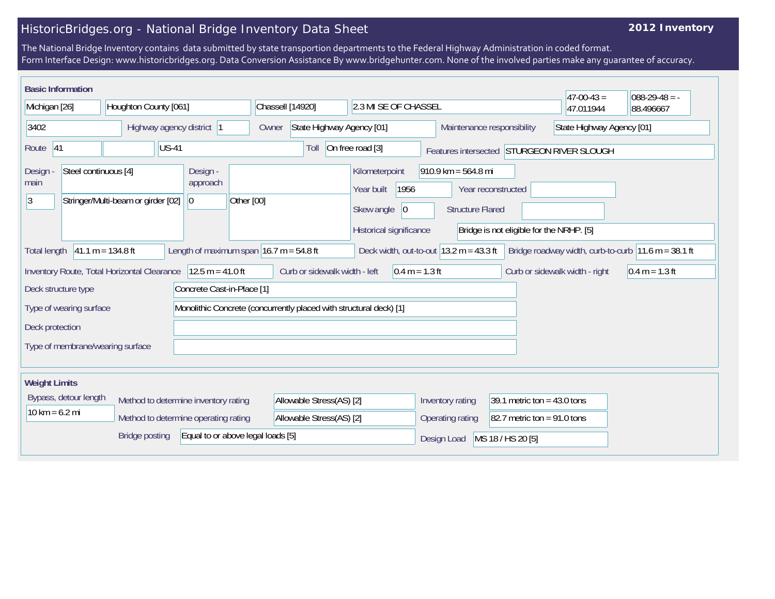## HistoricBridges.org - National Bridge Inventory Data Sheet

## **2012 Inventory**

The National Bridge Inventory contains data submitted by state transportion departments to the Federal Highway Administration in coded format. Form Interface Design: www.historicbridges.org. Data Conversion Assistance By www.bridgehunter.com. None of the involved parties make any guarantee of accuracy.

| <b>Basic Information</b>                                                                                                                                                                                        |                                                                              |                                                      |                                                                    |                                                                                     |                                                                        |                                                                | $ 47-00-43 $                               | $088-29-48 = -$ |
|-----------------------------------------------------------------------------------------------------------------------------------------------------------------------------------------------------------------|------------------------------------------------------------------------------|------------------------------------------------------|--------------------------------------------------------------------|-------------------------------------------------------------------------------------|------------------------------------------------------------------------|----------------------------------------------------------------|--------------------------------------------|-----------------|
| Michigan [26]                                                                                                                                                                                                   | Houghton County [061]                                                        |                                                      | Chassell [14920]                                                   | 2.3 MI SE OF CHASSEL                                                                |                                                                        |                                                                | 47.011944                                  | 88.496667       |
| 3402<br>Highway agency district  1                                                                                                                                                                              |                                                                              | Owner                                                | State Highway Agency [01]                                          |                                                                                     | Maintenance responsibility<br>State Highway Agency [01]                |                                                                |                                            |                 |
| 41<br>Route                                                                                                                                                                                                     | <b>US-41</b>                                                                 |                                                      | Toll                                                               | On free road [3]                                                                    |                                                                        |                                                                | Features intersected STURGEON RIVER SLOUGH |                 |
| Steel continuous [4]<br>Design -<br>main<br> 3                                                                                                                                                                  | Stringer/Multi-beam or girder [02]                                           | Design -<br>approach<br>Other [00]<br>$\overline{0}$ |                                                                    | Kilometerpoint<br>Year built<br>1956<br>Skew angle<br> 0<br>Historical significance | $910.9$ km = 564.8 mi<br>Year reconstructed<br><b>Structure Flared</b> | Bridge is not eligible for the NRHP. [5]                       |                                            |                 |
| $41.1 m = 134.8 ft$<br>Length of maximum span $16.7$ m = 54.8 ft<br>Deck width, out-to-out $ 13.2 \text{ m} = 43.3 \text{ ft} $<br>Bridge roadway width, curb-to-curb $11.6$ m = 38.1 ft<br><b>Total length</b> |                                                                              |                                                      |                                                                    |                                                                                     |                                                                        |                                                                |                                            |                 |
| $12.5 m = 41.0 ft$<br>Curb or sidewalk width - left<br>Inventory Route, Total Horizontal Clearance<br>$0.4 m = 1.3 ft$<br>Curb or sidewalk width - right<br>$0.4 m = 1.3 ft$                                    |                                                                              |                                                      |                                                                    |                                                                                     |                                                                        |                                                                |                                            |                 |
| Deck structure type<br>Type of wearing surface<br>Deck protection                                                                                                                                               |                                                                              | Concrete Cast-in-Place [1]                           | Monolithic Concrete (concurrently placed with structural deck) [1] |                                                                                     |                                                                        |                                                                |                                            |                 |
| Type of membrane/wearing surface                                                                                                                                                                                |                                                                              |                                                      |                                                                    |                                                                                     |                                                                        |                                                                |                                            |                 |
| <b>Weight Limits</b>                                                                                                                                                                                            |                                                                              |                                                      |                                                                    |                                                                                     |                                                                        |                                                                |                                            |                 |
| Bypass, detour length<br>$10 km = 6.2 mi$                                                                                                                                                                       | Method to determine inventory rating<br>Method to determine operating rating |                                                      | Allowable Stress(AS) [2]<br>Allowable Stress(AS) [2]               |                                                                                     | Inventory rating<br>Operating rating                                   | 39.1 metric ton = $43.0$ tons<br>82.7 metric ton = $91.0$ tons |                                            |                 |
|                                                                                                                                                                                                                 | <b>Bridge posting</b>                                                        | Equal to or above legal loads [5]                    |                                                                    |                                                                                     | Design Load                                                            | MS 18 / HS 20 [5]                                              |                                            |                 |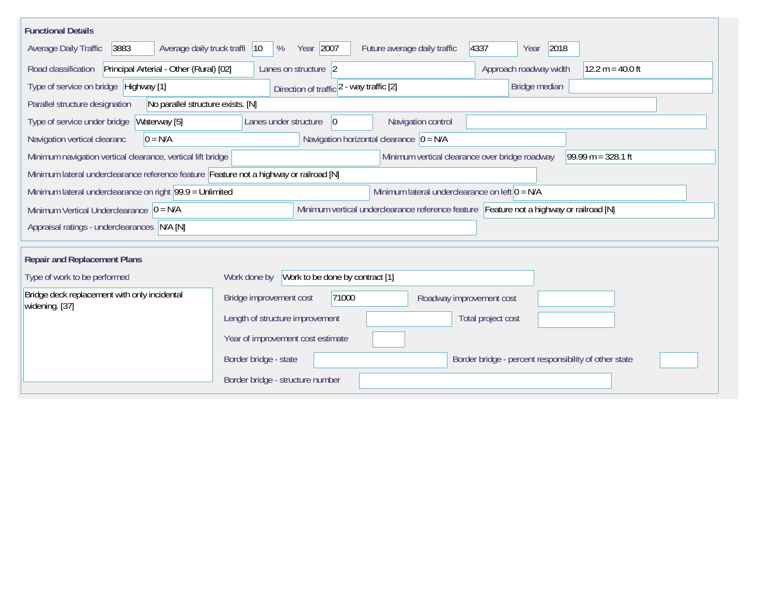| <b>Functional Details</b>                                                                                                             |                                                                                |                                                  |                                                                                         |                  |  |  |  |  |
|---------------------------------------------------------------------------------------------------------------------------------------|--------------------------------------------------------------------------------|--------------------------------------------------|-----------------------------------------------------------------------------------------|------------------|--|--|--|--|
| 3883<br>Average daily truck traffi<br>Average Daily Traffic                                                                           | Year 2007<br>$ 10\rangle$<br>%                                                 | Future average daily traffic                     | 4337<br>2018<br>Year                                                                    |                  |  |  |  |  |
| Principal Arterial - Other (Rural) [02]<br>Road classification                                                                        | Lanes on structure 2                                                           |                                                  | Approach roadway width                                                                  | 12.2 m = 40.0 ft |  |  |  |  |
| Type of service on bridge Highway [1]                                                                                                 |                                                                                | Direction of traffic 2 - way traffic [2]         |                                                                                         | Bridge median    |  |  |  |  |
| No parallel structure exists. [N]<br>Parallel structure designation                                                                   |                                                                                |                                                  |                                                                                         |                  |  |  |  |  |
| Type of service under bridge<br>Waterway [5]                                                                                          | 0 <br>Navigation control<br>Lanes under structure                              |                                                  |                                                                                         |                  |  |  |  |  |
| $0 = N/A$<br>Navigation vertical clearanc                                                                                             | Navigation horizontal clearance $ 0 = N/A $                                    |                                                  |                                                                                         |                  |  |  |  |  |
| Minimum vertical clearance over bridge roadway<br>99.99 m = $328.1$ ft<br>Minimum navigation vertical clearance, vertical lift bridge |                                                                                |                                                  |                                                                                         |                  |  |  |  |  |
| Minimum lateral underclearance reference feature Feature not a highway or railroad [N]                                                |                                                                                |                                                  |                                                                                         |                  |  |  |  |  |
| Minimum lateral underclearance on right 99.9 = Unlimited                                                                              |                                                                                | Minimum lateral underclearance on left $0 = N/A$ |                                                                                         |                  |  |  |  |  |
| Minimum Vertical Underclearance $ 0 = N/A$                                                                                            |                                                                                |                                                  | Minimum vertical underclearance reference feature Feature not a highway or railroad [N] |                  |  |  |  |  |
| Appraisal ratings - underclearances N/A [N]                                                                                           |                                                                                |                                                  |                                                                                         |                  |  |  |  |  |
| <b>Repair and Replacement Plans</b>                                                                                                   |                                                                                |                                                  |                                                                                         |                  |  |  |  |  |
| Type of work to be performed                                                                                                          | Work to be done by contract [1]<br>Work done by                                |                                                  |                                                                                         |                  |  |  |  |  |
|                                                                                                                                       |                                                                                |                                                  |                                                                                         |                  |  |  |  |  |
| Bridge deck replacement with only incidental<br>widening. [37]                                                                        | 71000<br>Bridge improvement cost<br>Roadway improvement cost                   |                                                  |                                                                                         |                  |  |  |  |  |
|                                                                                                                                       | Length of structure improvement                                                |                                                  | Total project cost                                                                      |                  |  |  |  |  |
|                                                                                                                                       | Year of improvement cost estimate                                              |                                                  |                                                                                         |                  |  |  |  |  |
|                                                                                                                                       | Border bridge - state<br>Border bridge - percent responsibility of other state |                                                  |                                                                                         |                  |  |  |  |  |
|                                                                                                                                       | Border bridge - structure number                                               |                                                  |                                                                                         |                  |  |  |  |  |